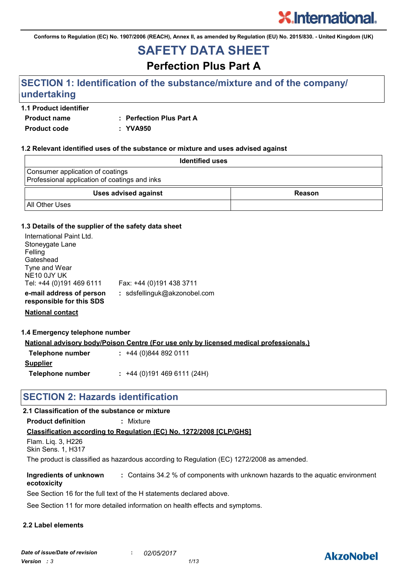**Conforms to Regulation (EC) No. 1907/2006 (REACH), Annex II, as amended by Regulation (EU) No. 2015/830. - United Kingdom (UK)**

# **SAFETY DATA SHEET**

**Perfection Plus Part A**

## **SECTION 1: Identification of the substance/mixture and of the company/ undertaking**

#### **1.1 Product identifier**

**Product name : Perfection Plus Part A**

**Product code : YVA950**

#### **1.2 Relevant identified uses of the substance or mixture and uses advised against**

| <b>Identified uses</b>                                                            |        |  |
|-----------------------------------------------------------------------------------|--------|--|
| Consumer application of coatings<br>Professional application of coatings and inks |        |  |
| <b>Uses advised against</b>                                                       | Reason |  |
| <b>All Other Uses</b>                                                             |        |  |

#### **1.3 Details of the supplier of the safety data sheet**

| International Paint Ltd.<br>Stoneygate Lane<br>Felling<br>Gateshead<br>Tyne and Wear<br>NE10 0JY UK<br>Tel: +44 (0)191 469 6111 | Fax: +44 (0)191 438 3711     |
|---------------------------------------------------------------------------------------------------------------------------------|------------------------------|
| e-mail address of person<br>responsible for this SDS                                                                            | : sdsfellinguk@akzonobel.com |

**National contact**

#### **1.4 Emergency telephone number**

**National advisory body/Poison Centre (For use only by licensed medical professionals.)**

| Telephone number | $: +44(0)8448920111$      |
|------------------|---------------------------|
| <b>Supplier</b>  |                           |
| Telephone number | $: +44(0)1914696111(24H)$ |

### **SECTION 2: Hazards identification**

#### **2.1 Classification of the substance or mixture**

**Product definition :** Mixture

#### **Classification according to Regulation (EC) No. 1272/2008 [CLP/GHS]**

```
Flam. Liq. 3, H226
Skin Sens. 1, H317
```
The product is classified as hazardous according to Regulation (EC) 1272/2008 as amended.

**Ingredients of unknown ecotoxicity :** Contains 34.2 % of components with unknown hazards to the aquatic environment

See Section 16 for the full text of the H statements declared above.

See Section 11 for more detailed information on health effects and symptoms.

#### **2.2 Label elements**

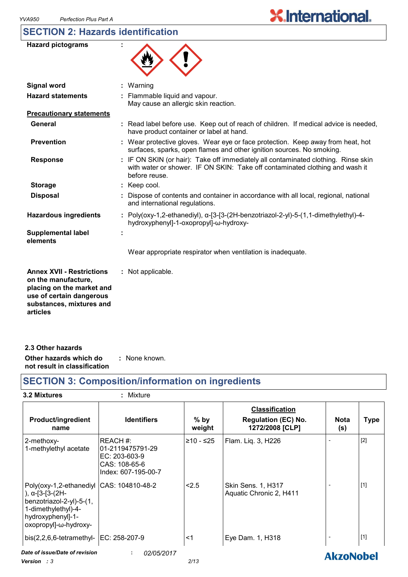# **SECTION 2: Hazards identification**

| <b>Hazard pictograms</b>                                                                                                                                 |                                                                                                                                                                                     |
|----------------------------------------------------------------------------------------------------------------------------------------------------------|-------------------------------------------------------------------------------------------------------------------------------------------------------------------------------------|
| <b>Signal word</b>                                                                                                                                       | : Warning                                                                                                                                                                           |
| <b>Hazard statements</b>                                                                                                                                 | : Flammable liquid and vapour.<br>May cause an allergic skin reaction.                                                                                                              |
| <b>Precautionary statements</b>                                                                                                                          |                                                                                                                                                                                     |
| General                                                                                                                                                  | : Read label before use. Keep out of reach of children. If medical advice is needed,<br>have product container or label at hand.                                                    |
| <b>Prevention</b>                                                                                                                                        | : Wear protective gloves. Wear eye or face protection. Keep away from heat, hot<br>surfaces, sparks, open flames and other ignition sources. No smoking.                            |
| <b>Response</b>                                                                                                                                          | : IF ON SKIN (or hair): Take off immediately all contaminated clothing. Rinse skin<br>with water or shower. IF ON SKIN: Take off contaminated clothing and wash it<br>before reuse. |
| <b>Storage</b>                                                                                                                                           | : Keep cool.                                                                                                                                                                        |
| <b>Disposal</b>                                                                                                                                          | Dispose of contents and container in accordance with all local, regional, national<br>and international regulations.                                                                |
| <b>Hazardous ingredients</b>                                                                                                                             | : Poly(oxy-1,2-ethanediyl), $\alpha$ -[3-[3-(2H-benzotriazol-2-yl)-5-(1,1-dimethylethyl)-4-<br>hydroxyphenyl]-1-oxopropyl]-w-hydroxy-                                               |
| <b>Supplemental label</b><br>elements                                                                                                                    |                                                                                                                                                                                     |
|                                                                                                                                                          | Wear appropriate respirator when ventilation is inadequate.                                                                                                                         |
| <b>Annex XVII - Restrictions</b><br>on the manufacture,<br>placing on the market and<br>use of certain dangerous<br>substances, mixtures and<br>articles | : Not applicable.                                                                                                                                                                   |

| 2.3 Other hazards            |               |  |
|------------------------------|---------------|--|
| Other hazards which do       | : None known. |  |
| not result in classification |               |  |

# **SECTION 3: Composition/information on ingredients**

| <b>3.2 Mixtures</b>                                                                                                                                                  | : Mixture                                                                            |                  |                                                                        |                    |             |
|----------------------------------------------------------------------------------------------------------------------------------------------------------------------|--------------------------------------------------------------------------------------|------------------|------------------------------------------------------------------------|--------------------|-------------|
| <b>Product/ingredient</b><br>name                                                                                                                                    | <b>Identifiers</b>                                                                   | $%$ by<br>weight | <b>Classification</b><br><b>Regulation (EC) No.</b><br>1272/2008 [CLP] | <b>Nota</b><br>(s) | <b>Type</b> |
| 2-methoxy-<br>1-methylethyl acetate                                                                                                                                  | REACH#:<br>01-2119475791-29<br>EC: 203-603-9<br>CAS: 108-65-6<br>Index: 607-195-00-7 | ≥10 - ≤25        | Flam. Liq. 3, H226                                                     |                    | $[2]$       |
| Poly(oxy-1,2-ethanediyl CAS: 104810-48-2<br>), $\alpha$ -[3-[3-(2H-<br>benzotriazol-2-yl)-5-(1,<br>1-dimethylethyl)-4-<br>hydroxyphenyl]-1-<br>oxopropyl]-ω-hydroxy- |                                                                                      | 2.5              | <b>Skin Sens. 1, H317</b><br>Aquatic Chronic 2, H411                   |                    | $[1]$       |
| bis(2,2,6,6-tetramethyl-   EC: 258-207-9                                                                                                                             |                                                                                      | <1               | Eye Dam. 1, H318                                                       |                    | $[1]$       |
| Date of issue/Date of revision<br>Version : 3                                                                                                                        | 02/05/2017<br>÷                                                                      | 2/13             |                                                                        | <b>AkzoNobel</b>   |             |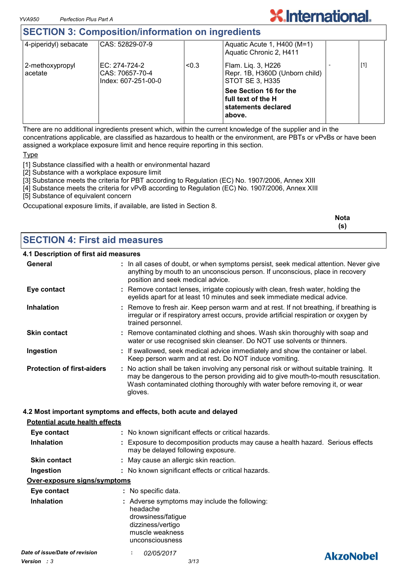### **SECTION 3: Composition/information on ingredients**

|                            | <u>ULUTION V. UUMPUUMUUMMIUMMUUM VII MIINUUMUU</u>       |       |                                                                               |     |
|----------------------------|----------------------------------------------------------|-------|-------------------------------------------------------------------------------|-----|
| 4-piperidyl) sebacate      | CAS: 52829-07-9                                          |       | Aquatic Acute 1, H400 (M=1)<br>Aquatic Chronic 2, H411                        |     |
| 2-methoxypropyl<br>acetate | IEC: 274-724-2<br>CAS: 70657-70-4<br>Index: 607-251-00-0 | < 0.3 | Flam. Lig. 3, H226<br>Repr. 1B, H360D (Unborn child)<br>STOT SE 3, H335       | [1] |
|                            |                                                          |       | See Section 16 for the<br>full text of the H<br>statements declared<br>above. |     |

**X.International.** 

There are no additional ingredients present which, within the current knowledge of the supplier and in the concentrations applicable, are classified as hazardous to health or the environment, are PBTs or vPvBs or have been assigned a workplace exposure limit and hence require reporting in this section.

**Type** 

[1] Substance classified with a health or environmental hazard

[2] Substance with a workplace exposure limit

[3] Substance meets the criteria for PBT according to Regulation (EC) No. 1907/2006, Annex XIII

[4] Substance meets the criteria for vPvB according to Regulation (EC) No. 1907/2006, Annex XIII

[5] Substance of equivalent concern

Occupational exposure limits, if available, are listed in Section 8.

|                                      | <b>Nota</b><br>(s) |
|--------------------------------------|--------------------|
| <b>SECTION 4: First aid measures</b> |                    |

#### **4.1 Description of first aid measures**

| 4. I Description of hist ald measures |                                                                                                                                                                                                                                                                          |  |
|---------------------------------------|--------------------------------------------------------------------------------------------------------------------------------------------------------------------------------------------------------------------------------------------------------------------------|--|
| General                               | : In all cases of doubt, or when symptoms persist, seek medical attention. Never give<br>anything by mouth to an unconscious person. If unconscious, place in recovery<br>position and seek medical advice.                                                              |  |
| Eye contact                           | : Remove contact lenses, irrigate copiously with clean, fresh water, holding the<br>eyelids apart for at least 10 minutes and seek immediate medical advice.                                                                                                             |  |
| <b>Inhalation</b>                     | : Remove to fresh air. Keep person warm and at rest. If not breathing, if breathing is<br>irregular or if respiratory arrest occurs, provide artificial respiration or oxygen by<br>trained personnel.                                                                   |  |
| <b>Skin contact</b>                   | : Remove contaminated clothing and shoes. Wash skin thoroughly with soap and<br>water or use recognised skin cleanser. Do NOT use solvents or thinners.                                                                                                                  |  |
| Ingestion                             | : If swallowed, seek medical advice immediately and show the container or label.<br>Keep person warm and at rest. Do NOT induce vomiting.                                                                                                                                |  |
| <b>Protection of first-aiders</b>     | : No action shall be taken involving any personal risk or without suitable training. It<br>may be dangerous to the person providing aid to give mouth-to-mouth resuscitation.<br>Wash contaminated clothing thoroughly with water before removing it, or wear<br>gloves. |  |

#### **4.2 Most important symptoms and effects, both acute and delayed**

#### **Potential acute health effects**

| Eye contact<br><b>Inhalation</b> | : No known significant effects or critical hazards.<br>: Exposure to decomposition products may cause a health hazard. Serious effects<br>may be delayed following exposure. |                  |
|----------------------------------|------------------------------------------------------------------------------------------------------------------------------------------------------------------------------|------------------|
| <b>Skin contact</b>              | : May cause an allergic skin reaction.                                                                                                                                       |                  |
| Ingestion                        | : No known significant effects or critical hazards.                                                                                                                          |                  |
| Over-exposure signs/symptoms     |                                                                                                                                                                              |                  |
| Eye contact                      | : No specific data.                                                                                                                                                          |                  |
| <b>Inhalation</b>                | : Adverse symptoms may include the following:<br>headache<br>drowsiness/fatigue<br>dizziness/vertigo<br>muscle weakness<br>unconsciousness                                   |                  |
| Date of issue/Date of revision   | <i>02/05/2017</i><br>٠<br>$\mathbf{r}$                                                                                                                                       | <b>AkzoNobel</b> |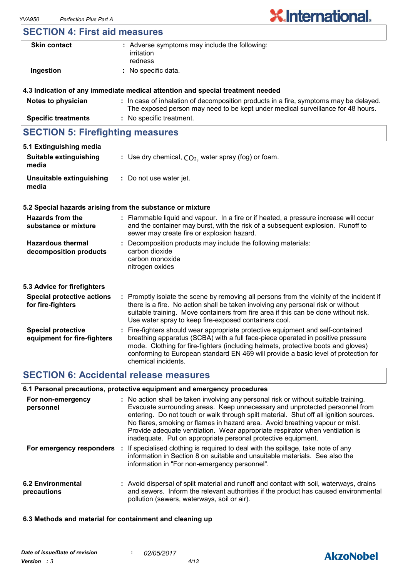### **SECTION 4: First aid measures**

| <b>Skin contact</b>                      | : Adverse symptoms may include the following:<br>irritation<br>redness                                                                                                   |
|------------------------------------------|--------------------------------------------------------------------------------------------------------------------------------------------------------------------------|
| Ingestion                                | : No specific data.                                                                                                                                                      |
|                                          | 4.3 Indication of any immediate medical attention and special treatment needed                                                                                           |
| Notes to physician                       | : In case of inhalation of decomposition products in a fire, symptoms may be delayed.<br>The exposed person may need to be kept under medical surveillance for 48 hours. |
| <b>Specific treatments</b>               | : No specific treatment.                                                                                                                                                 |
| <b>ISECTION 5: Firefighting measures</b> |                                                                                                                                                                          |

| <b>SECTION 3. FIRE DUTIES</b> INCREASED FOR |                                                        |  |
|---------------------------------------------|--------------------------------------------------------|--|
| 5.1 Extinguishing media                     |                                                        |  |
| Suitable extinguishing<br>media             | : Use dry chemical, $CO2$ , water spray (fog) or foam. |  |
| Unsuitable extinguishing<br>media           | : Do not use water jet.                                |  |

#### **5.2 Special hazards arising from the substance or mixture**

| Hazards from the<br>substance or mixture                 | : Flammable liquid and vapour. In a fire or if heated, a pressure increase will occur<br>and the container may burst, with the risk of a subsequent explosion. Runoff to<br>sewer may create fire or explosion hazard.                                                                                                                         |
|----------------------------------------------------------|------------------------------------------------------------------------------------------------------------------------------------------------------------------------------------------------------------------------------------------------------------------------------------------------------------------------------------------------|
| <b>Hazardous thermal</b><br>decomposition products       | : Decomposition products may include the following materials:<br>carbon dioxide<br>carbon monoxide<br>nitrogen oxides                                                                                                                                                                                                                          |
| 5.3 Advice for firefighters                              |                                                                                                                                                                                                                                                                                                                                                |
| <b>Special protective actions</b><br>for fire-fighters   | : Promptly isolate the scene by removing all persons from the vicinity of the incident if<br>there is a fire. No action shall be taken involving any personal risk or without<br>suitable training. Move containers from fire area if this can be done without risk.<br>Use water spray to keep fire-exposed containers cool.                  |
| <b>Special protective</b><br>equipment for fire-fighters | : Fire-fighters should wear appropriate protective equipment and self-contained<br>breathing apparatus (SCBA) with a full face-piece operated in positive pressure<br>mode. Clothing for fire-fighters (including helmets, protective boots and gloves)<br>conforming to European standard EN 469 will provide a basic level of protection for |

# **SECTION 6: Accidental release measures**

#### **6.1 Personal precautions, protective equipment and emergency procedures**

chemical incidents.

| For non-emergency<br>personnel   | : No action shall be taken involving any personal risk or without suitable training.<br>Evacuate surrounding areas. Keep unnecessary and unprotected personnel from<br>entering. Do not touch or walk through spilt material. Shut off all ignition sources.<br>No flares, smoking or flames in hazard area. Avoid breathing vapour or mist.<br>Provide adequate ventilation. Wear appropriate respirator when ventilation is<br>inadequate. Put on appropriate personal protective equipment. |
|----------------------------------|------------------------------------------------------------------------------------------------------------------------------------------------------------------------------------------------------------------------------------------------------------------------------------------------------------------------------------------------------------------------------------------------------------------------------------------------------------------------------------------------|
|                                  | For emergency responders : If specialised clothing is required to deal with the spillage, take note of any<br>information in Section 8 on suitable and unsuitable materials. See also the<br>information in "For non-emergency personnel".                                                                                                                                                                                                                                                     |
| 6.2 Environmental<br>precautions | : Avoid dispersal of spilt material and runoff and contact with soil, waterways, drains<br>and sewers. Inform the relevant authorities if the product has caused environmental<br>pollution (sewers, waterways, soil or air).                                                                                                                                                                                                                                                                  |

#### **6.3 Methods and material for containment and cleaning up**

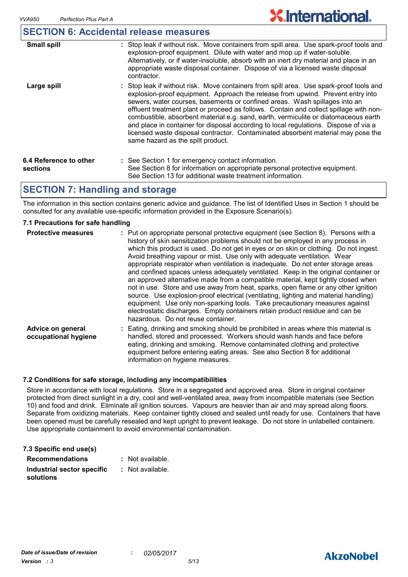### **SECTION 6: Accidental release measures**

| <b>Small spill</b>                 | : Stop leak if without risk. Move containers from spill area. Use spark-proof tools and<br>explosion-proof equipment. Dilute with water and mop up if water-soluble.<br>Alternatively, or if water-insoluble, absorb with an inert dry material and place in an<br>appropriate waste disposal container. Dispose of via a licensed waste disposal<br>contractor.                                                                                                                                                                                                                                                                                           |
|------------------------------------|------------------------------------------------------------------------------------------------------------------------------------------------------------------------------------------------------------------------------------------------------------------------------------------------------------------------------------------------------------------------------------------------------------------------------------------------------------------------------------------------------------------------------------------------------------------------------------------------------------------------------------------------------------|
| Large spill                        | : Stop leak if without risk. Move containers from spill area. Use spark-proof tools and<br>explosion-proof equipment. Approach the release from upwind. Prevent entry into<br>sewers, water courses, basements or confined areas. Wash spillages into an<br>effluent treatment plant or proceed as follows. Contain and collect spillage with non-<br>combustible, absorbent material e.g. sand, earth, vermiculite or diatomaceous earth<br>and place in container for disposal according to local regulations. Dispose of via a<br>licensed waste disposal contractor. Contaminated absorbent material may pose the<br>same hazard as the spilt product. |
| 6.4 Reference to other<br>sections | : See Section 1 for emergency contact information.<br>See Section 8 for information on appropriate personal protective equipment.<br>See Section 13 for additional waste treatment information.                                                                                                                                                                                                                                                                                                                                                                                                                                                            |

### **SECTION 7: Handling and storage**

The information in this section contains generic advice and guidance. The list of Identified Uses in Section 1 should be consulted for any available use-specific information provided in the Exposure Scenario(s).

#### **7.1 Precautions for safe handling**

| <b>Protective measures</b>                | : Put on appropriate personal protective equipment (see Section 8). Persons with a<br>history of skin sensitization problems should not be employed in any process in<br>which this product is used. Do not get in eyes or on skin or clothing. Do not ingest.<br>Avoid breathing vapour or mist. Use only with adequate ventilation. Wear<br>appropriate respirator when ventilation is inadequate. Do not enter storage areas<br>and confined spaces unless adequately ventilated. Keep in the original container or<br>an approved alternative made from a compatible material, kept tightly closed when<br>not in use. Store and use away from heat, sparks, open flame or any other ignition<br>source. Use explosion-proof electrical (ventilating, lighting and material handling)<br>equipment. Use only non-sparking tools. Take precautionary measures against<br>electrostatic discharges. Empty containers retain product residue and can be<br>hazardous. Do not reuse container. |
|-------------------------------------------|------------------------------------------------------------------------------------------------------------------------------------------------------------------------------------------------------------------------------------------------------------------------------------------------------------------------------------------------------------------------------------------------------------------------------------------------------------------------------------------------------------------------------------------------------------------------------------------------------------------------------------------------------------------------------------------------------------------------------------------------------------------------------------------------------------------------------------------------------------------------------------------------------------------------------------------------------------------------------------------------|
| Advice on general<br>occupational hygiene | : Eating, drinking and smoking should be prohibited in areas where this material is<br>handled, stored and processed. Workers should wash hands and face before<br>eating, drinking and smoking. Remove contaminated clothing and protective<br>equipment before entering eating areas. See also Section 8 for additional<br>information on hygiene measures.                                                                                                                                                                                                                                                                                                                                                                                                                                                                                                                                                                                                                                  |

#### **7.2 Conditions for safe storage, including any incompatibilities**

Store in accordance with local regulations. Store in a segregated and approved area. Store in original container protected from direct sunlight in a dry, cool and well-ventilated area, away from incompatible materials (see Section 10) and food and drink. Eliminate all ignition sources. Vapours are heavier than air and may spread along floors. Separate from oxidizing materials. Keep container tightly closed and sealed until ready for use. Containers that have been opened must be carefully resealed and kept upright to prevent leakage. Do not store in unlabelled containers. Use appropriate containment to avoid environmental contamination.

| 7.3 Specific end use(s)    |                  |
|----------------------------|------------------|
| <b>Recommendations</b>     | : Not available. |
| Industrial sector specific | : Not available. |
| solutions                  |                  |

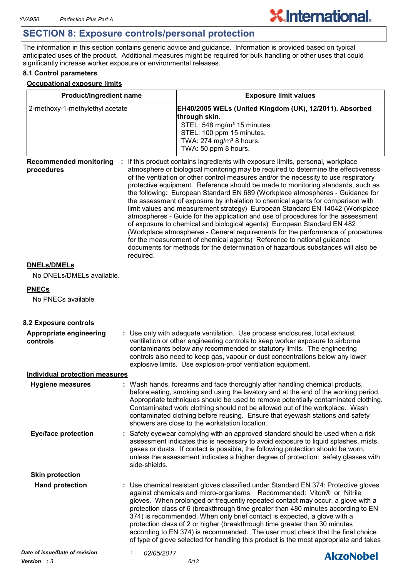# **SECTION 8: Exposure controls/personal protection**

The information in this section contains generic advice and guidance. Information is provided based on typical anticipated uses of the product. Additional measures might be required for bulk handling or other uses that could significantly increase worker exposure or environmental releases.

#### **8.1 Control parameters**

#### **Occupational exposure limits**

| Product/ingredient name                     |               | <b>Exposure limit values</b>                                                                                                                                                                                    |                                                                                                                                                                                                                                                                                                                                                                                                                                                                                                                                                                                                                                                                                                                                                                                                                                                                                                                                                                                                                       |  |
|---------------------------------------------|---------------|-----------------------------------------------------------------------------------------------------------------------------------------------------------------------------------------------------------------|-----------------------------------------------------------------------------------------------------------------------------------------------------------------------------------------------------------------------------------------------------------------------------------------------------------------------------------------------------------------------------------------------------------------------------------------------------------------------------------------------------------------------------------------------------------------------------------------------------------------------------------------------------------------------------------------------------------------------------------------------------------------------------------------------------------------------------------------------------------------------------------------------------------------------------------------------------------------------------------------------------------------------|--|
| 2-methoxy-1-methylethyl acetate             |               | EH40/2005 WELs (United Kingdom (UK), 12/2011). Absorbed<br>through skin.<br>STEL: 548 mg/m <sup>3</sup> 15 minutes.<br>STEL: 100 ppm 15 minutes.<br>TWA: 274 mg/m <sup>3</sup> 8 hours.<br>TWA: 50 ppm 8 hours. |                                                                                                                                                                                                                                                                                                                                                                                                                                                                                                                                                                                                                                                                                                                                                                                                                                                                                                                                                                                                                       |  |
| <b>Recommended monitoring</b><br>procedures | required.     |                                                                                                                                                                                                                 | : If this product contains ingredients with exposure limits, personal, workplace<br>atmosphere or biological monitoring may be required to determine the effectiveness<br>of the ventilation or other control measures and/or the necessity to use respiratory<br>protective equipment. Reference should be made to monitoring standards, such as<br>the following: European Standard EN 689 (Workplace atmospheres - Guidance for<br>the assessment of exposure by inhalation to chemical agents for comparison with<br>limit values and measurement strategy) European Standard EN 14042 (Workplace<br>atmospheres - Guide for the application and use of procedures for the assessment<br>of exposure to chemical and biological agents) European Standard EN 482<br>(Workplace atmospheres - General requirements for the performance of procedures<br>for the measurement of chemical agents) Reference to national guidance<br>documents for methods for the determination of hazardous substances will also be |  |
| <b>DNELs/DMELs</b>                          |               |                                                                                                                                                                                                                 |                                                                                                                                                                                                                                                                                                                                                                                                                                                                                                                                                                                                                                                                                                                                                                                                                                                                                                                                                                                                                       |  |
| No DNELs/DMELs available.                   |               |                                                                                                                                                                                                                 |                                                                                                                                                                                                                                                                                                                                                                                                                                                                                                                                                                                                                                                                                                                                                                                                                                                                                                                                                                                                                       |  |
| <b>PNECs</b>                                |               |                                                                                                                                                                                                                 |                                                                                                                                                                                                                                                                                                                                                                                                                                                                                                                                                                                                                                                                                                                                                                                                                                                                                                                                                                                                                       |  |
| No PNECs available                          |               |                                                                                                                                                                                                                 |                                                                                                                                                                                                                                                                                                                                                                                                                                                                                                                                                                                                                                                                                                                                                                                                                                                                                                                                                                                                                       |  |
| 8.2 Exposure controls                       |               |                                                                                                                                                                                                                 |                                                                                                                                                                                                                                                                                                                                                                                                                                                                                                                                                                                                                                                                                                                                                                                                                                                                                                                                                                                                                       |  |
| <b>Appropriate engineering</b><br>controls  |               | explosive limits. Use explosion-proof ventilation equipment.                                                                                                                                                    | : Use only with adequate ventilation. Use process enclosures, local exhaust<br>ventilation or other engineering controls to keep worker exposure to airborne<br>contaminants below any recommended or statutory limits. The engineering<br>controls also need to keep gas, vapour or dust concentrations below any lower                                                                                                                                                                                                                                                                                                                                                                                                                                                                                                                                                                                                                                                                                              |  |
| <b>Individual protection measures</b>       |               |                                                                                                                                                                                                                 |                                                                                                                                                                                                                                                                                                                                                                                                                                                                                                                                                                                                                                                                                                                                                                                                                                                                                                                                                                                                                       |  |
| <b>Hygiene measures</b>                     |               | showers are close to the workstation location.                                                                                                                                                                  | : Wash hands, forearms and face thoroughly after handling chemical products,<br>before eating, smoking and using the lavatory and at the end of the working period.<br>Appropriate techniques should be used to remove potentially contaminated clothing.<br>Contaminated work clothing should not be allowed out of the workplace. Wash<br>contaminated clothing before reusing. Ensure that eyewash stations and safety                                                                                                                                                                                                                                                                                                                                                                                                                                                                                                                                                                                             |  |
| <b>Eye/face protection</b>                  | side-shields. |                                                                                                                                                                                                                 | : Safety eyewear complying with an approved standard should be used when a risk<br>assessment indicates this is necessary to avoid exposure to liquid splashes, mists,<br>gases or dusts. If contact is possible, the following protection should be worn,<br>unless the assessment indicates a higher degree of protection: safety glasses with                                                                                                                                                                                                                                                                                                                                                                                                                                                                                                                                                                                                                                                                      |  |
| <b>Skin protection</b>                      |               |                                                                                                                                                                                                                 |                                                                                                                                                                                                                                                                                                                                                                                                                                                                                                                                                                                                                                                                                                                                                                                                                                                                                                                                                                                                                       |  |
| <b>Hand protection</b>                      |               |                                                                                                                                                                                                                 | : Use chemical resistant gloves classified under Standard EN 374: Protective gloves<br>against chemicals and micro-organisms. Recommended: Viton® or Nitrile<br>gloves. When prolonged or frequently repeated contact may occur, a glove with a<br>protection class of 6 (breakthrough time greater than 480 minutes according to EN<br>374) is recommended. When only brief contact is expected, a glove with a<br>protection class of 2 or higher (breakthrough time greater than 30 minutes<br>according to EN 374) is recommended. The user must check that the final choice<br>of type of glove selected for handling this product is the most appropriate and takes                                                                                                                                                                                                                                                                                                                                             |  |
| Date of issue/Date of revision              | 02/05/2017    |                                                                                                                                                                                                                 | <b>AkzoNobel</b>                                                                                                                                                                                                                                                                                                                                                                                                                                                                                                                                                                                                                                                                                                                                                                                                                                                                                                                                                                                                      |  |
| Version : 3                                 |               | 6/13                                                                                                                                                                                                            |                                                                                                                                                                                                                                                                                                                                                                                                                                                                                                                                                                                                                                                                                                                                                                                                                                                                                                                                                                                                                       |  |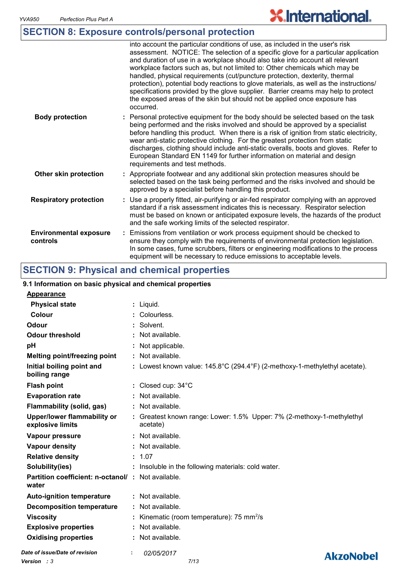# **SECTION 8: Exposure controls/personal protection**

|                                           | into account the particular conditions of use, as included in the user's risk<br>assessment. NOTICE: The selection of a specific glove for a particular application<br>and duration of use in a workplace should also take into account all relevant<br>workplace factors such as, but not limited to: Other chemicals which may be<br>handled, physical requirements (cut/puncture protection, dexterity, thermal<br>protection), potential body reactions to glove materials, as well as the instructions/<br>specifications provided by the glove supplier. Barrier creams may help to protect<br>the exposed areas of the skin but should not be applied once exposure has<br>occurred. |
|-------------------------------------------|---------------------------------------------------------------------------------------------------------------------------------------------------------------------------------------------------------------------------------------------------------------------------------------------------------------------------------------------------------------------------------------------------------------------------------------------------------------------------------------------------------------------------------------------------------------------------------------------------------------------------------------------------------------------------------------------|
| <b>Body protection</b>                    | : Personal protective equipment for the body should be selected based on the task<br>being performed and the risks involved and should be approved by a specialist<br>before handling this product. When there is a risk of ignition from static electricity,<br>wear anti-static protective clothing. For the greatest protection from static<br>discharges, clothing should include anti-static overalls, boots and gloves. Refer to<br>European Standard EN 1149 for further information on material and design<br>requirements and test methods.                                                                                                                                        |
| Other skin protection                     | : Appropriate footwear and any additional skin protection measures should be<br>selected based on the task being performed and the risks involved and should be<br>approved by a specialist before handling this product.                                                                                                                                                                                                                                                                                                                                                                                                                                                                   |
| <b>Respiratory protection</b>             | : Use a properly fitted, air-purifying or air-fed respirator complying with an approved<br>standard if a risk assessment indicates this is necessary. Respirator selection<br>must be based on known or anticipated exposure levels, the hazards of the product<br>and the safe working limits of the selected respirator.                                                                                                                                                                                                                                                                                                                                                                  |
| <b>Environmental exposure</b><br>controls | : Emissions from ventilation or work process equipment should be checked to<br>ensure they comply with the requirements of environmental protection legislation.<br>In some cases, fume scrubbers, filters or engineering modifications to the process<br>equipment will be necessary to reduce emissions to acceptable levels.                                                                                                                                                                                                                                                                                                                                                             |

**X.International.** 

# **SECTION 9: Physical and chemical properties**

#### **9.1 Information on basic physical and chemical properties**

| <b>Appearance</b>                                                 |                                                                                    |
|-------------------------------------------------------------------|------------------------------------------------------------------------------------|
| <b>Physical state</b>                                             | : Liquid.                                                                          |
| Colour                                                            | : Colourless.                                                                      |
| Odour                                                             | Solvent.                                                                           |
| <b>Odour threshold</b>                                            | Not available.                                                                     |
| pH                                                                | Not applicable.                                                                    |
| <b>Melting point/freezing point</b>                               | : Not available.                                                                   |
| Initial boiling point and<br>boiling range                        | : Lowest known value: 145.8°C (294.4°F) (2-methoxy-1-methylethyl acetate).         |
| <b>Flash point</b>                                                | $:$ Closed cup: $34^{\circ}$ C                                                     |
| <b>Evaporation rate</b>                                           | : Not available.                                                                   |
| Flammability (solid, gas)                                         | Not available.                                                                     |
| Upper/lower flammability or<br>explosive limits                   | : Greatest known range: Lower: 1.5% Upper: 7% (2-methoxy-1-methylethyl<br>acetate) |
| Vapour pressure                                                   | Not available.                                                                     |
| Vapour density                                                    | $\therefore$ Not available.                                                        |
| <b>Relative density</b>                                           | : 1.07                                                                             |
| Solubility(ies)                                                   | Insoluble in the following materials: cold water.                                  |
| <b>Partition coefficient: n-octanol/: Not available.</b><br>water |                                                                                    |
| <b>Auto-ignition temperature</b>                                  | : Not available.                                                                   |
| <b>Decomposition temperature</b>                                  | Not available.                                                                     |
| <b>Viscosity</b>                                                  | Kinematic (room temperature): 75 mm <sup>2</sup> /s                                |
| <b>Explosive properties</b>                                       | Not available.                                                                     |
| <b>Oxidising properties</b>                                       | Not available.                                                                     |
| Date of issue/Date of revision                                    | 02/05/2017<br><b>AkzoNobel</b>                                                     |
| Version : 3                                                       | 7/13                                                                               |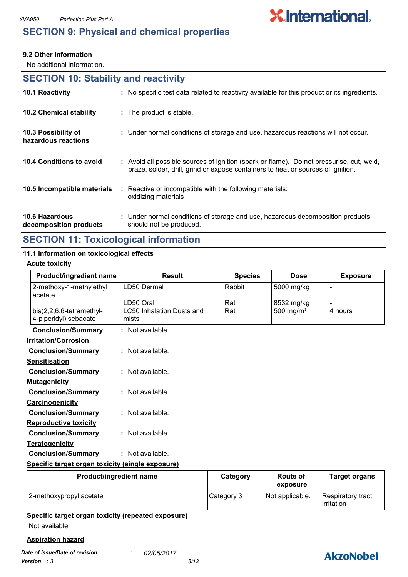## **SECTION 9: Physical and chemical properties**

#### **9.2 Other information**

No additional information.

| <b>SECTION 10: Stability and reactivity</b> |                                                                                                                                                                              |
|---------------------------------------------|------------------------------------------------------------------------------------------------------------------------------------------------------------------------------|
| 10.1 Reactivity                             | : No specific test data related to reactivity available for this product or its ingredients.                                                                                 |
| 10.2 Chemical stability                     | : The product is stable.                                                                                                                                                     |
| 10.3 Possibility of<br>hazardous reactions  | : Under normal conditions of storage and use, hazardous reactions will not occur.                                                                                            |
| 10.4 Conditions to avoid                    | : Avoid all possible sources of ignition (spark or flame). Do not pressurise, cut, weld,<br>braze, solder, drill, grind or expose containers to heat or sources of ignition. |
| 10.5 Incompatible materials                 | : Reactive or incompatible with the following materials:<br>oxidizing materials                                                                                              |
| 10.6 Hazardous<br>decomposition products    | : Under normal conditions of storage and use, hazardous decomposition products<br>should not be produced.                                                                    |

## **SECTION 11: Toxicological information**

### **11.1 Information on toxicological effects**

#### **Acute toxicity**

| <b>Product/ingredient name</b>                      | <b>Result</b>                             | <b>Species</b> | <b>Dose</b>  | <b>Exposure</b> |
|-----------------------------------------------------|-------------------------------------------|----------------|--------------|-----------------|
| 2-methoxy-1-methylethyl<br>acetate                  | LD50 Dermal                               | Rabbit         | 5000 mg/kg   |                 |
|                                                     | LD50 Oral                                 | Rat            | 8532 mg/kg   |                 |
| $bis(2,2,6,6-tetramethyl-$<br>4-piperidyl) sebacate | <b>LC50 Inhalation Dusts and</b><br>mists | Rat            | 500 mg/ $m3$ | 4 hours         |
| <b>Conclusion/Summary</b>                           | : Not available.                          |                |              |                 |
| <b>Irritation/Corrosion</b>                         |                                           |                |              |                 |
| <b>Conclusion/Summary</b>                           | $:$ Not available.                        |                |              |                 |
| <b>Sensitisation</b>                                |                                           |                |              |                 |
| <b>Conclusion/Summary</b>                           | : Not available.                          |                |              |                 |
| <b>Mutagenicity</b>                                 |                                           |                |              |                 |
| <b>Conclusion/Summary</b>                           | $:$ Not available.                        |                |              |                 |
| <b>Carcinogenicity</b>                              |                                           |                |              |                 |
| <b>Conclusion/Summary</b>                           | : Not available.                          |                |              |                 |
| <b>Reproductive toxicity</b>                        |                                           |                |              |                 |
| <b>Conclusion/Summary</b>                           | : Not available.                          |                |              |                 |
| <b>Teratogenicity</b>                               |                                           |                |              |                 |
| <b>Conclusion/Summary</b>                           | : Not available.                          |                |              |                 |
| Specific target organ toxicity (single exposure)    |                                           |                |              |                 |

| <b>Product/ingredient name</b> | Category   | Route of<br>exposure | <b>Target organs</b>            |
|--------------------------------|------------|----------------------|---------------------------------|
| 2-methoxypropyl acetate        | Category 3 | Not applicable.      | Respiratory tract<br>irritation |

#### **Specific target organ toxicity (repeated exposure)**

Not available.

#### **Aspiration hazard**

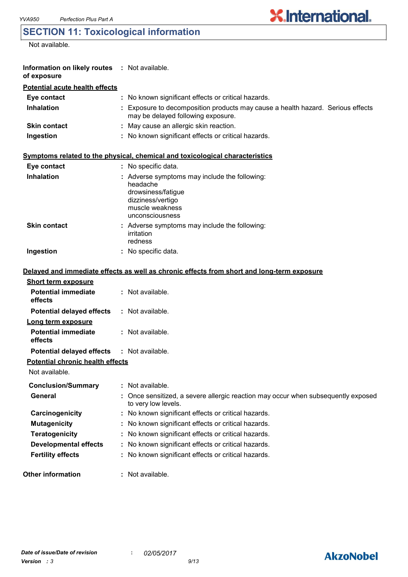# **SECTION 11: Toxicological information**

Not available.

| Information on likely routes : Not available.<br>of exposure |                                                                                                                                            |
|--------------------------------------------------------------|--------------------------------------------------------------------------------------------------------------------------------------------|
| <b>Potential acute health effects</b>                        |                                                                                                                                            |
| Eye contact                                                  | : No known significant effects or critical hazards.                                                                                        |
| <b>Inhalation</b>                                            | : Exposure to decomposition products may cause a health hazard. Serious effects<br>may be delayed following exposure.                      |
| <b>Skin contact</b>                                          | : May cause an allergic skin reaction.                                                                                                     |
| Ingestion                                                    | : No known significant effects or critical hazards.                                                                                        |
|                                                              | Symptoms related to the physical, chemical and toxicological characteristics                                                               |
| Eye contact                                                  | : No specific data.                                                                                                                        |
| <b>Inhalation</b>                                            | : Adverse symptoms may include the following:<br>headache<br>drowsiness/fatigue<br>dizziness/vertigo<br>muscle weakness<br>unconsciousness |
| <b>Skin contact</b>                                          | : Adverse symptoms may include the following:<br>irritation<br>redness                                                                     |
| Ingestion                                                    | : No specific data.                                                                                                                        |
|                                                              | Delayed and immediate effects as well as chronic effects from short and long-term exposure                                                 |
| <b>Short term exposure</b>                                   |                                                                                                                                            |
| <b>Potential immediate</b><br>effects                        | : Not available.                                                                                                                           |
| <b>Potential delayed effects</b>                             | : Not available.                                                                                                                           |
| Long term exposure<br><b>Potential immediate</b><br>effects  | : Not available.                                                                                                                           |
| <b>Potential delayed effects</b>                             | : Not available.                                                                                                                           |
| <b>Potential chronic health effects</b>                      |                                                                                                                                            |
| Not available.                                               |                                                                                                                                            |
| <b>Conclusion/Summary</b>                                    | : Not available.                                                                                                                           |
| General                                                      | Once sensitized, a severe allergic reaction may occur when subsequently exposed<br>to very low levels.                                     |
| Carcinogenicity                                              | : No known significant effects or critical hazards.                                                                                        |
| <b>Mutagenicity</b>                                          | : No known significant effects or critical hazards.                                                                                        |
| <b>Teratogenicity</b>                                        | : No known significant effects or critical hazards.                                                                                        |
| <b>Developmental effects</b>                                 | : No known significant effects or critical hazards.                                                                                        |
| <b>Fertility effects</b>                                     | : No known significant effects or critical hazards.                                                                                        |
| <b>Other information</b>                                     | : Not available.                                                                                                                           |

# **AkzoNobel**

**X.International.**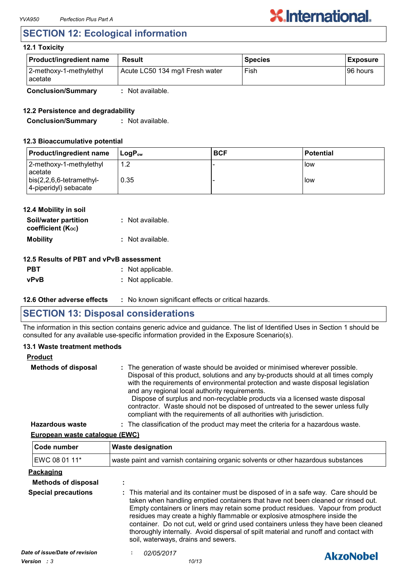# **SECTION 12: Ecological information**

#### **12.1 Toxicity**

| Product/ingredient name            | Result                          | <b>Species</b> | <b>Exposure</b> |
|------------------------------------|---------------------------------|----------------|-----------------|
| 2-methoxy-1-methylethyl<br>acetate | Acute LC50 134 mg/l Fresh water | Fish           | 196 hours       |
| <b>Conclusion/Summary</b>          | Not available.                  |                |                 |

#### **12.2 Persistence and degradability**

**Conclusion/Summary :** Not available.

#### **12.3 Bioaccumulative potential**

| <b>Product/ingredient name</b>                            | ⊺LoɑP <sub>∾w</sub> | <b>BCF</b> | <b>Potential</b> |
|-----------------------------------------------------------|---------------------|------------|------------------|
| 2-methoxy-1-methylethyl<br>acetate                        | 1.2                 |            | <b>I</b> low     |
| $\vert$ bis(2,2,6,6-tetramethyl-<br>4-piperidyl) sebacate | 0.35                |            | <b>low</b>       |

| 12.4 Mobility in soil                     |                  |
|-------------------------------------------|------------------|
| Soil/water partition<br>coefficient (Koc) | : Not available. |
| <b>Mobility</b>                           | : Not available. |

#### **12.5 Results of PBT and vPvB assessment**

| <b>PBT</b> | : Not applicable. |
|------------|-------------------|
| vPvB       | : Not applicable. |

#### **12.6 Other adverse effects** : No known significant effects or critical hazards.

### **SECTION 13: Disposal considerations**

The information in this section contains generic advice and guidance. The list of Identified Uses in Section 1 should be consulted for any available use-specific information provided in the Exposure Scenario(s).

#### **13.1 Waste treatment methods**

| <b>Product</b>             |                                                                                                                                                                                                                                                                                                                                                                                                                                                                                                                                                     |
|----------------------------|-----------------------------------------------------------------------------------------------------------------------------------------------------------------------------------------------------------------------------------------------------------------------------------------------------------------------------------------------------------------------------------------------------------------------------------------------------------------------------------------------------------------------------------------------------|
| <b>Methods of disposal</b> | : The generation of waste should be avoided or minimised wherever possible.<br>Disposal of this product, solutions and any by-products should at all times comply<br>with the requirements of environmental protection and waste disposal legislation<br>and any regional local authority requirements.<br>Dispose of surplus and non-recyclable products via a licensed waste disposal<br>contractor. Waste should not be disposed of untreated to the sewer unless fully<br>compliant with the requirements of all authorities with jurisdiction. |
| <b>Hazardous waste</b>     | : The classification of the product may meet the criteria for a hazardous waste.                                                                                                                                                                                                                                                                                                                                                                                                                                                                    |

#### **European waste catalogue (EWC)**

| Code number                                                                                                                                                                                                                                                                                                                                                                                                                                                                                                                                                                                 | <b>Waste designation</b> |                                                                                   |  |
|---------------------------------------------------------------------------------------------------------------------------------------------------------------------------------------------------------------------------------------------------------------------------------------------------------------------------------------------------------------------------------------------------------------------------------------------------------------------------------------------------------------------------------------------------------------------------------------------|--------------------------|-----------------------------------------------------------------------------------|--|
| EWC 08 01 11*                                                                                                                                                                                                                                                                                                                                                                                                                                                                                                                                                                               |                          | waste paint and varnish containing organic solvents or other hazardous substances |  |
| Packaging                                                                                                                                                                                                                                                                                                                                                                                                                                                                                                                                                                                   |                          |                                                                                   |  |
| <b>Methods of disposal</b>                                                                                                                                                                                                                                                                                                                                                                                                                                                                                                                                                                  | $\blacksquare$           |                                                                                   |  |
| <b>Special precautions</b><br>: This material and its container must be disposed of in a safe way. Care should be<br>taken when handling emptied containers that have not been cleaned or rinsed out.<br>Empty containers or liners may retain some product residues. Vapour from product<br>residues may create a highly flammable or explosive atmosphere inside the<br>container. Do not cut, weld or grind used containers unless they have been cleaned<br>thoroughly internally. Avoid dispersal of spilt material and runoff and contact with<br>soil, waterways, drains and sewers. |                          |                                                                                   |  |
| Date of issue/Date of revision                                                                                                                                                                                                                                                                                                                                                                                                                                                                                                                                                              | <i>02/05/2017</i>        | <b>AkzoNobel</b>                                                                  |  |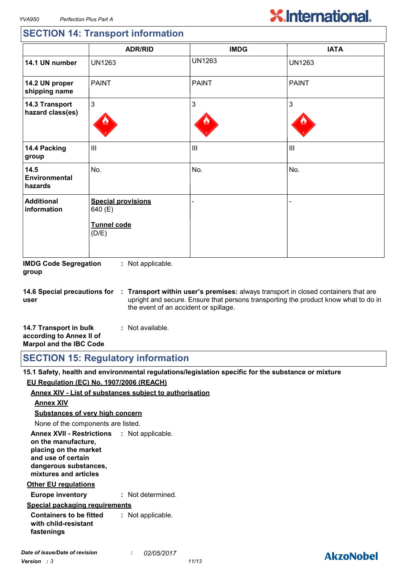## **SECTION 14: Transport information**

|                                    | <b>ADR/RID</b>                                                      | <b>IMDG</b>   | <b>IATA</b>    |
|------------------------------------|---------------------------------------------------------------------|---------------|----------------|
| 14.1 UN number                     | <b>UN1263</b>                                                       | <b>UN1263</b> | <b>UN1263</b>  |
| 14.2 UN proper<br>shipping name    | <b>PAINT</b>                                                        | <b>PAINT</b>  | <b>PAINT</b>   |
| 14.3 Transport<br>hazard class(es) | $\mathfrak{S}$                                                      | 3             | 3              |
| 14.4 Packing<br>group              | $\mathbf{III}$                                                      | Ш             | $\mathbf{III}$ |
| 14.5<br>Environmental<br>hazards   | No.                                                                 | No.           | No.            |
| <b>Additional</b><br>information   | <b>Special provisions</b><br>640 (E)<br><b>Tunnel code</b><br>(D/E) |               |                |

**IMDG Code Segregation group :** Not applicable.

**14.6 Special precautions for user Transport within user's premises:** always transport in closed containers that are **:** upright and secure. Ensure that persons transporting the product know what to do in the event of an accident or spillage.

| 14.7 Transport in bulk         | : Not available. |
|--------------------------------|------------------|
| according to Annex II of       |                  |
| <b>Marpol and the IBC Code</b> |                  |

**SECTION 15: Regulatory information**

**15.1 Safety, health and environmental regulations/legislation specific for the substance or mixture EU Regulation (EC) No. 1907/2006 (REACH)**

#### **Annex XIV - List of substances subject to authorisation**

#### **Annex XIV**

**Substances of very high concern**

None of the components are listed.

**Annex XVII - Restrictions : Not applicable. on the manufacture, placing on the market and use of certain dangerous substances, mixtures and articles**

#### **Other EU regulations**

**Europe inventory :** Not determined.

#### **Special packaging requirements**

**Containers to be fitted with child-resistant fastenings :** Not applicable.

## **AkzoNobel**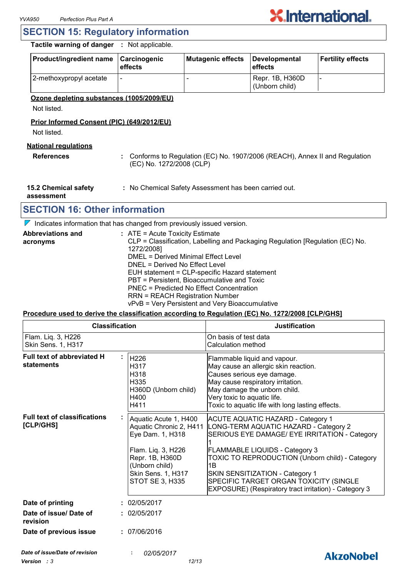

### **SECTION 15: Regulatory information**

#### **Tactile warning of danger :** Not applicable.

| <b>Product/ingredient name</b> | <b>Carcinogenic</b><br>effects | Mutagenic effects | Developmental<br>effects          | <b>Fertility effects</b> |
|--------------------------------|--------------------------------|-------------------|-----------------------------------|--------------------------|
| 2-methoxypropyl acetate        |                                |                   | Repr. 1B, H360D<br>(Unborn child) |                          |

#### **Ozone depleting substances (1005/2009/EU)**

Not listed.

#### **Prior Informed Consent (PIC) (649/2012/EU)**

Not listed.

#### **National regulations**

- 
- **References :** Conforms to Regulation (EC) No. 1907/2006 (REACH), Annex II and Regulation (EC) No. 1272/2008 (CLP)
- **15.2 Chemical safety**
- **:** No Chemical Safety Assessment has been carried out.

**assessment**

### **SECTION 16: Other information**

 $\nabla$  Indicates information that has changed from previously issued version.

| <b>Abbreviations and</b> | $:$ ATE = Acute Toxicity Estimate                                             |
|--------------------------|-------------------------------------------------------------------------------|
| acronyms                 | CLP = Classification, Labelling and Packaging Regulation [Regulation (EC) No. |
|                          | 1272/2008]                                                                    |
|                          | DMEL = Derived Minimal Effect Level                                           |
|                          | DNEL = Derived No Effect Level                                                |
|                          | EUH statement = CLP-specific Hazard statement                                 |
|                          | PBT = Persistent, Bioaccumulative and Toxic                                   |
|                          | PNEC = Predicted No Effect Concentration                                      |
|                          | <b>RRN = REACH Registration Number</b>                                        |
|                          | vPvB = Very Persistent and Very Bioaccumulative                               |

#### **Procedure used to derive the classification according to Regulation (EC) No. 1272/2008 [CLP/GHS]**

| <b>Classification</b>                            |  |                                                                                                                                                                          | <b>Justification</b>                                                                                                                                                                                                                                                                                                                                                       |  |
|--------------------------------------------------|--|--------------------------------------------------------------------------------------------------------------------------------------------------------------------------|----------------------------------------------------------------------------------------------------------------------------------------------------------------------------------------------------------------------------------------------------------------------------------------------------------------------------------------------------------------------------|--|
| Flam. Liq. 3, H226<br>Skin Sens. 1, H317         |  |                                                                                                                                                                          | On basis of test data<br>Calculation method                                                                                                                                                                                                                                                                                                                                |  |
| Full text of abbreviated H<br>statements         |  | H226<br>H317<br>H318<br>H335<br>H360D (Unborn child)<br>H400<br>H411                                                                                                     | Flammable liquid and vapour.<br>May cause an allergic skin reaction.<br>Causes serious eye damage.<br>May cause respiratory irritation.<br>May damage the unborn child.<br>Very toxic to aquatic life.<br>Toxic to aquatic life with long lasting effects.                                                                                                                 |  |
| <b>Full text of classifications</b><br>[CLP/GHS] |  | Aquatic Acute 1, H400<br>Aquatic Chronic 2, H411<br>Eye Dam. 1, H318<br>Flam. Liq. 3, H226<br>Repr. 1B, H360D<br>(Unborn child)<br>Skin Sens. 1, H317<br>STOT SE 3, H335 | <b>ACUTE AQUATIC HAZARD - Category 1</b><br>LONG-TERM AQUATIC HAZARD - Category 2<br>SERIOUS EYE DAMAGE/ EYE IRRITATION - Category<br><b>FLAMMABLE LIQUIDS - Category 3</b><br>TOXIC TO REPRODUCTION (Unborn child) - Category<br>1B<br>SKIN SENSITIZATION - Category 1<br>SPECIFIC TARGET ORGAN TOXICITY (SINGLE<br>EXPOSURE) (Respiratory tract irritation) - Category 3 |  |
| Date of printing                                 |  | : 02/05/2017                                                                                                                                                             |                                                                                                                                                                                                                                                                                                                                                                            |  |
| Date of issue/ Date of<br>revision               |  | : 02/05/2017                                                                                                                                                             |                                                                                                                                                                                                                                                                                                                                                                            |  |
| Date of previous issue                           |  | : 07/06/2016                                                                                                                                                             |                                                                                                                                                                                                                                                                                                                                                                            |  |
| Date of issue/Date of revision                   |  | 02/05/2017                                                                                                                                                               | <b>AkzoNobel</b>                                                                                                                                                                                                                                                                                                                                                           |  |
|                                                  |  |                                                                                                                                                                          |                                                                                                                                                                                                                                                                                                                                                                            |  |